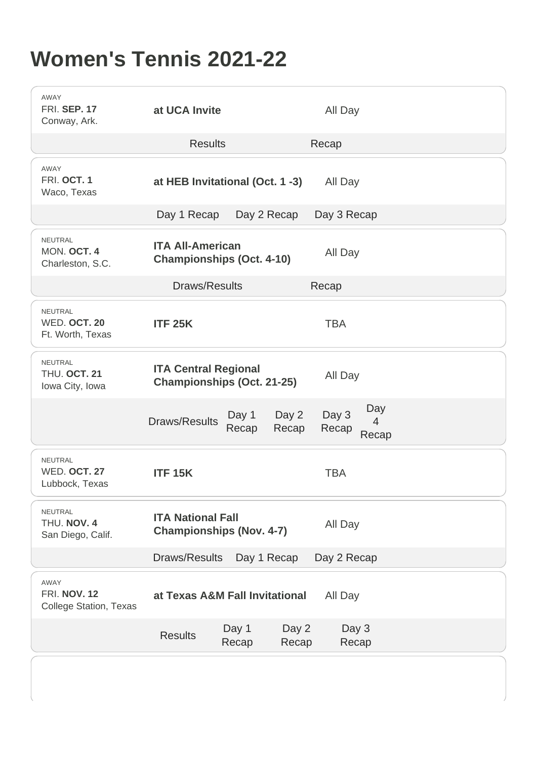## Women's Tennis 2021-22

| AWAY<br><b>FRI. SEP. 17</b><br>Conway, Ark.           | at UCA Invite<br>All Day                                                                                     |  |
|-------------------------------------------------------|--------------------------------------------------------------------------------------------------------------|--|
|                                                       | <b>Results</b><br>Recap                                                                                      |  |
| <b>AWAY</b><br>FRI. OCT. 1<br>Waco, Texas             | at HEB Invitational (Oct. 1 -3)<br>All Day                                                                   |  |
|                                                       | Day 1 Recap<br>Day 2 Recap<br>Day 3 Recap                                                                    |  |
| <b>NEUTRAL</b><br>MON. OCT. 4<br>Charleston, S.C.     | <b>ITA All-American</b><br>All Day<br>Championships (Oct. 4-10)                                              |  |
|                                                       | Draws/Results<br>Recap                                                                                       |  |
| NEUTRAL<br>WED. OCT. 20<br>Ft. Worth, Texas           | <b>TBA</b><br><b>ITF 25K</b>                                                                                 |  |
| NEUTRAL<br>THU. OCT. 21<br>Iowa City, Iowa            | <b>ITA Central Regional</b><br>All Day<br>Championships (Oct. 21-25)                                         |  |
|                                                       | Day<br>Day 3<br>Day 2<br>Day 1<br><b>Draws/Results</b><br>$\overline{4}$<br>Recap<br>Recap<br>Recap<br>Recap |  |
| <b>NEUTRAL</b><br>WED. OCT. 27<br>Lubbock, Texas      | <b>ITF 15K</b><br><b>TBA</b>                                                                                 |  |
| NEUTRAL<br>THU. NOV. 4<br>San Diego, Calif.           | <b>ITA National Fall</b><br>All Day<br>Championships (Nov. 4-7)                                              |  |
|                                                       | Draws/Results<br>Day 1 Recap<br>Day 2 Recap                                                                  |  |
| AWAY<br><b>FRI. NOV. 12</b><br>College Station, Texas | at Texas A&M Fall Invitational<br>All Day                                                                    |  |
|                                                       | Day 1<br>Day 2<br>Day 3<br><b>Results</b><br>Recap<br>Recap<br>Recap                                         |  |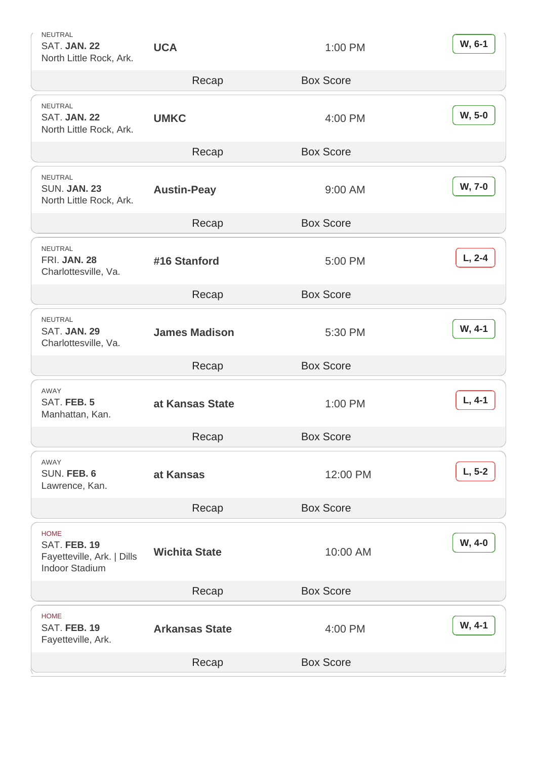| <b>NEUTRAL</b><br>SAT. JAN. 22<br>North Little Rock, Ark.     | <b>UCA</b>            | 1:00 PM          | W, 6-1   |
|---------------------------------------------------------------|-----------------------|------------------|----------|
|                                                               | Recap                 | <b>Box Score</b> |          |
| NEUTRAL<br>SAT. JAN. 22<br>North Little Rock, Ark.            | <b>UMKC</b>           | 4:00 PM          | W, 5-0   |
|                                                               | Recap                 | <b>Box Score</b> |          |
| NEUTRAL<br><b>SUN. JAN. 23</b><br>North Little Rock, Ark.     | Austin-Peay           | 9:00 AM          | W, 7-0   |
|                                                               | Recap                 | <b>Box Score</b> |          |
| <b>NEUTRAL</b><br><b>FRI. JAN. 28</b><br>Charlottesville, Va. | #16 Stanford          | 5:00 PM          | $L, 2-4$ |
|                                                               | Recap                 | <b>Box Score</b> |          |
| <b>NEUTRAL</b><br>SAT. JAN. 29<br>Charlottesville, Va.        | James Madison         | 5:30 PM          | W, 4-1   |
|                                                               | Recap                 | <b>Box Score</b> |          |
| AWAY<br>SAT. FEB. 5<br>Manhattan, Kan.                        | at Kansas State       | 1:00 PM          | $L, 4-1$ |
|                                                               | Recap                 | <b>Box Score</b> |          |
| AWAY<br>SUN. FEB. 6<br>Lawrence, Kan.                         | at Kansas             | 12:00 PM         | $L, 5-2$ |
|                                                               | Recap                 | <b>Box Score</b> |          |
| <b>HOME</b><br>SAT. FEB. 19<br>Fayetteville, Ark.   Dills     |                       |                  | W, 4-0   |
| <b>Indoor Stadium</b>                                         | <b>Wichita State</b>  | 10:00 AM         |          |
|                                                               | Recap                 | <b>Box Score</b> |          |
| <b>HOME</b><br>SAT. FEB. 19<br>Fayetteville, Ark.             | <b>Arkansas State</b> | 4:00 PM          | W, 4-1   |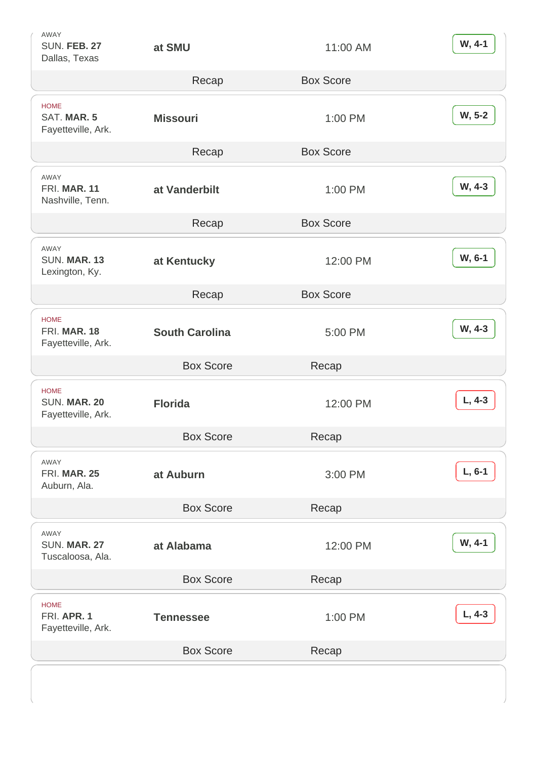| AWAY<br><b>SUN. FEB. 27</b><br>Dallas, Texas      | at SMU           | 11:00 AM         | W, 4-1   |
|---------------------------------------------------|------------------|------------------|----------|
|                                                   | Recap            | <b>Box Score</b> |          |
| <b>HOME</b><br>SAT. MAR. 5<br>Fayetteville, Ark.  | Missouri         | 1:00 PM          | W, 5-2   |
|                                                   | Recap            | <b>Box Score</b> |          |
| <b>AWAY</b><br>FRI. MAR. 11<br>Nashville, Tenn.   | at Vanderbilt    | 1:00 PM          | W, 4-3   |
|                                                   | Recap            | <b>Box Score</b> |          |
| <b>AWAY</b><br>SUN. MAR. 13<br>Lexington, Ky.     | at Kentucky      | 12:00 PM         | W, 6-1   |
|                                                   | Recap            | <b>Box Score</b> |          |
| <b>HOME</b><br>FRI. MAR. 18<br>Fayetteville, Ark. | South Carolina   | 5:00 PM          | W, 4-3   |
|                                                   |                  |                  |          |
|                                                   | <b>Box Score</b> | Recap            |          |
| <b>HOME</b><br>SUN. MAR. 20<br>Fayetteville, Ark. | Florida          | 12:00 PM         | $L, 4-3$ |
|                                                   | <b>Box Score</b> | Recap            |          |
| AWAY<br><b>FRI. MAR. 25</b><br>Auburn, Ala.       | at Auburn        | 3:00 PM          | $L, 6-1$ |
|                                                   | <b>Box Score</b> | Recap            |          |
| AWAY<br>SUN. MAR. 27<br>Tuscaloosa, Ala.          | at Alabama       | 12:00 PM         | W, 4-1   |
|                                                   | <b>Box Score</b> | Recap            |          |
| <b>HOME</b><br>FRI. APR. 1<br>Fayetteville, Ark.  | <b>Tennessee</b> | 1:00 PM          | $L, 4-3$ |
|                                                   | <b>Box Score</b> | Recap            |          |